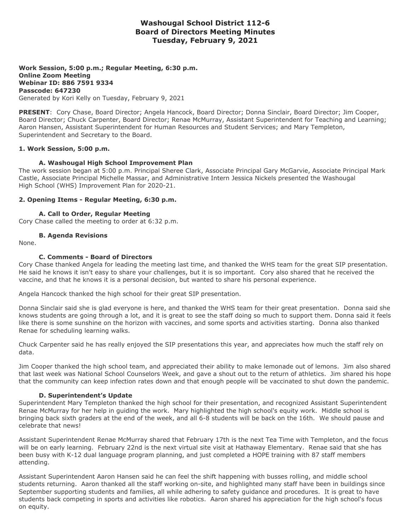# **Washougal School District 112-6 Board of Directors Meeting Minutes Tuesday, February 9, 2021**

**Work Session, 5:00 p.m.; Regular Meeting, 6:30 p.m. Online Zoom Meeting Webinar ID: 886 7591 9334 Passcode: 647230** Generated by Kori Kelly on Tuesday, February 9, 2021

**PRESENT**: Cory Chase, Board Director; Angela Hancock, Board Director; Donna Sinclair, Board Director; Jim Cooper, Board Director; Chuck Carpenter, Board Director; Renae McMurray, Assistant Superintendent for Teaching and Learning; Aaron Hansen, Assistant Superintendent for Human Resources and Student Services; and Mary Templeton, Superintendent and Secretary to the Board.

## **1. Work Session, 5:00 p.m.**

## **A. Washougal High School Improvement Plan**

The work session began at 5:00 p.m. Principal Sheree Clark, Associate Principal Gary McGarvie, Associate Principal Mark Castle, Associate Principal Michelle Massar, and Administrative Intern Jessica Nickels presented the Washougal High School (WHS) Improvement Plan for 2020-21.

### **2. Opening Items - Regular Meeting, 6:30 p.m.**

**A. Call to Order, Regular Meeting**

Cory Chase called the meeting to order at 6:32 p.m.

## **B. Agenda Revisions**

None.

## **C. Comments - Board of Directors**

Cory Chase thanked Angela for leading the meeting last time, and thanked the WHS team for the great SIP presentation. He said he knows it isn't easy to share your challenges, but it is so important. Cory also shared that he received the vaccine, and that he knows it is a personal decision, but wanted to share his personal experience.

Angela Hancock thanked the high school for their great SIP presentation.

Donna Sinclair said she is glad everyone is here, and thanked the WHS team for their great presentation. Donna said she knows students are going through a lot, and it is great to see the staff doing so much to support them. Donna said it feels like there is some sunshine on the horizon with vaccines, and some sports and activities starting. Donna also thanked Renae for scheduling learning walks.

Chuck Carpenter said he has really enjoyed the SIP presentations this year, and appreciates how much the staff rely on data.

Jim Cooper thanked the high school team, and appreciated their ability to make lemonade out of lemons. Jim also shared that last week was National School Counselors Week, and gave a shout out to the return of athletics. Jim shared his hope that the community can keep infection rates down and that enough people will be vaccinated to shut down the pandemic.

### **D. Superintendent's Update**

Superintendent Mary Templeton thanked the high school for their presentation, and recognized Assistant Superintendent Renae McMurray for her help in guiding the work. Mary highlighted the high school's equity work. Middle school is bringing back sixth graders at the end of the week, and all 6-8 students will be back on the 16th. We should pause and celebrate that news!

Assistant Superintendent Renae McMurray shared that February 17th is the next Tea Time with Templeton, and the focus will be on early learning. February 22nd is the next virtual site visit at Hathaway Elementary. Renae said that she has been busy with K-12 dual language program planning, and just completed a HOPE training with 87 staff members attending.

Assistant Superintendent Aaron Hansen said he can feel the shift happening with busses rolling, and middle school students returning. Aaron thanked all the staff working on-site, and highlighted many staff have been in buildings since September supporting students and families, all while adhering to safety guidance and procedures. It is great to have students back competing in sports and activities like robotics. Aaron shared his appreciation for the high school's focus on equity.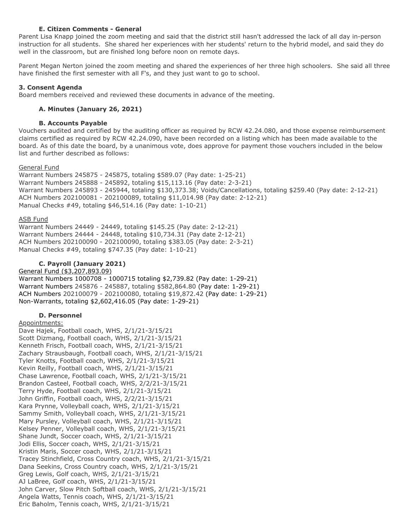# **E. Citizen Comments - General**

Parent Lisa Knapp joined the zoom meeting and said that the district still hasn't addressed the lack of all day in-person instruction for all students. She shared her experiences with her students' return to the hybrid model, and said they do well in the classroom, but are finished long before noon on remote days.

Parent Megan Nerton joined the zoom meeting and shared the experiences of her three high schoolers. She said all three have finished the first semester with all F's, and they just want to go to school.

## **3. Consent Agenda**

Board members received and reviewed these documents in advance of the meeting.

# **A. Minutes (January 26, 2021)**

## **B. Accounts Payable**

Vouchers audited and certified by the auditing officer as required by RCW 42.24.080, and those expense reimbursement claims certified as required by RCW 42.24.090, have been recorded on a listing which has been made available to the board. As of this date the board, by a unanimous vote, does approve for payment those vouchers included in the below list and further described as follows:

### General Fund

Warrant Numbers 245875 - 245875, totaling \$589.07 (Pay date: 1-25-21) Warrant Numbers 245888 - 245892, totaling \$15,113.16 (Pay date: 2-3-21) Warrant Numbers 245893 - 245944, totaling \$130,373.38; Voids/Cancellations, totaling \$259.40 (Pay date: 2-12-21) ACH Numbers 202100081 - 202100089, totaling \$11,014.98 (Pay date: 2-12-21) Manual Checks #49, totaling \$46,514.16 (Pay date: 1-10-21)

## ASB Fund

Warrant Numbers 24449 - 24449, totaling \$145.25 (Pay date: 2-12-21) Warrant Numbers 24444 - 24448, totaling \$10,734.31 (Pay date 2-12-21) ACH Numbers 202100090 - 202100090, totaling \$383.05 (Pay date: 2-3-21) Manual Checks #49, totaling \$747.35 (Pay date: 1-10-21)

# **C. Payroll (January 2021)**

# General Fund (\$3,207,893.09)

Warrant Numbers 1000708 - 1000715 totaling \$2,739.82 (Pay date: 1-29-21) Warrant Numbers 245876 - 245887, totaling \$582,864.80 (Pay date: 1-29-21) ACH Numbers 202100079 - 202100080, totaling \$19,872.42 (Pay date: 1-29-21) Non-Warrants, totaling \$2,602,416.05 (Pay date: 1-29-21)

### **D. Personnel**

### Appointments:

Dave Hajek, Football coach, WHS, 2/1/21-3/15/21 Scott Dizmang, Football coach, WHS, 2/1/21-3/15/21 Kenneth Frisch, Football coach, WHS, 2/1/21-3/15/21 Zachary Strausbaugh, Football coach, WHS, 2/1/21-3/15/21 Tyler Knotts, Football coach, WHS, 2/1/21-3/15/21 Kevin Reilly, Football coach, WHS, 2/1/21-3/15/21 Chase Lawrence, Football coach, WHS, 2/1/21-3/15/21 Brandon Casteel, Football coach, WHS, 2/2/21-3/15/21 Terry Hyde, Football coach, WHS, 2/1/21-3/15/21 John Griffin, Football coach, WHS, 2/2/21-3/15/21 Kara Prynne, Volleyball coach, WHS, 2/1/21-3/15/21 Sammy Smith, Volleyball coach, WHS, 2/1/21-3/15/21 Mary Pursley, Volleyball coach, WHS, 2/1/21-3/15/21 Kelsey Penner, Volleyball coach, WHS, 2/1/21-3/15/21 Shane Jundt, Soccer coach, WHS, 2/1/21-3/15/21 Jodi Ellis, Soccer coach, WHS, 2/1/21-3/15/21 Kristin Maris, Soccer coach, WHS, 2/1/21-3/15/21 Tracey Stinchfield, Cross Country coach, WHS, 2/1/21-3/15/21 Dana Seekins, Cross Country coach, WHS, 2/1/21-3/15/21 Greg Lewis, Golf coach, WHS, 2/1/21-3/15/21 AJ LaBree, Golf coach, WHS, 2/1/21-3/15/21 John Carver, Slow Pitch Softball coach, WHS, 2/1/21-3/15/21 Angela Watts, Tennis coach, WHS, 2/1/21-3/15/21 Eric Baholm, Tennis coach, WHS, 2/1/21-3/15/21